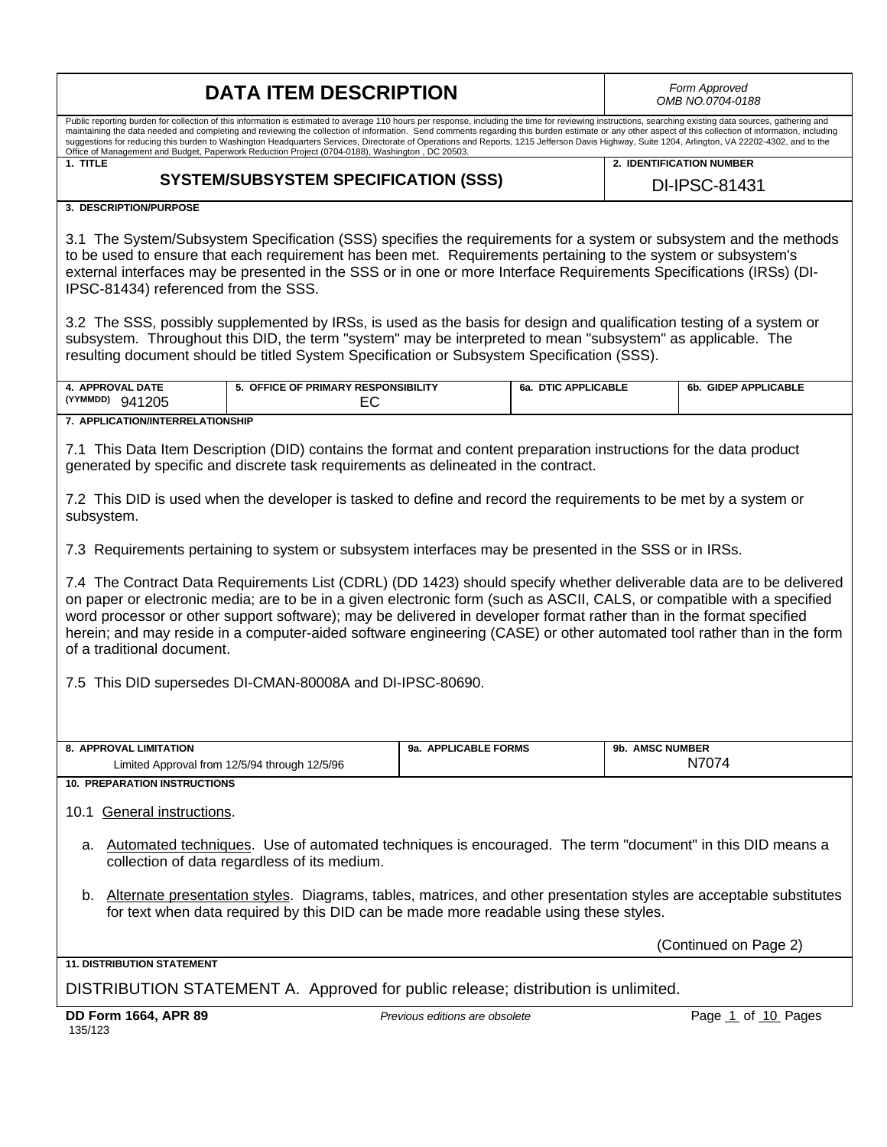| <b>DATA ITEM DESCRIPTION</b> | Form Approved  |
|------------------------------|----------------|
|                              | OMB NO.0704-01 |

*OMB NO.0704-0188*

Public reporting burden for collection of this information is estimated to average 110 hours per response, including the time for reviewing instructions, searching existing data sources, gathering and maintaining the data needed and completing and reviewing the collection of information. Send comments regarding this burden estimate or any other aspect of this collection of information, including<br>suggestions for reducing Office of Management and Budget, Paperwork Reduction Project (0704-0188), Washington , DC 20503. **2. IDENTIFICATION NUMBER**

**1. TITLE**

# **SYSTEM/SUBSYSTEM SPECIFICATION (SSS)**

DI-IPSC-81431

### **3. DESCRIPTION/PURPOSE**

3.1 The System/Subsystem Specification (SSS) specifies the requirements for a system or subsystem and the methods to be used to ensure that each requirement has been met. Requirements pertaining to the system or subsystem's external interfaces may be presented in the SSS or in one or more Interface Requirements Specifications (IRSs) (DI-IPSC-81434) referenced from the SSS.

3.2 The SSS, possibly supplemented by IRSs, is used as the basis for design and qualification testing of a system or subsystem. Throughout this DID, the term "system" may be interpreted to mean "subsystem" as applicable. The resulting document should be titled System Specification or Subsystem Specification (SSS).

| 4. APPROVAL DATE              | <b>OFFICE OF PRIMARY RESPONSIBILITY</b> | <b>DTIC APPLICABLE</b><br>6а. | <b>GIDEP APPLICABLE</b><br>6b. |
|-------------------------------|-----------------------------------------|-------------------------------|--------------------------------|
| (YYMMDD)<br>941205            | ∽                                       |                               |                                |
| APPLICATION/INTERRELATIONSHIP |                                         |                               |                                |

7.1 This Data Item Description (DID) contains the format and content preparation instructions for the data product generated by specific and discrete task requirements as delineated in the contract.

7.2 This DID is used when the developer is tasked to define and record the requirements to be met by a system or subsystem.

7.3 Requirements pertaining to system or subsystem interfaces may be presented in the SSS or in IRSs.

7.4 The Contract Data Requirements List (CDRL) (DD 1423) should specify whether deliverable data are to be delivered on paper or electronic media; are to be in a given electronic form (such as ASCII, CALS, or compatible with a specified word processor or other support software); may be delivered in developer format rather than in the format specified herein; and may reside in a computer-aided software engineering (CASE) or other automated tool rather than in the form of a traditional document.

7.5 This DID supersedes DI-CMAN-80008A and DI-IPSC-80690.

| 8. APPROVAL LIMITATION                        | <b>APPLICABLE FORMS</b><br>9а. | <b>AMSC NUMBER</b><br>9b. |  |
|-----------------------------------------------|--------------------------------|---------------------------|--|
| Limited Approval from 12/5/94 through 12/5/96 |                                |                           |  |
| <b>10. PREPARATION INSTRUCTIONS</b>           |                                |                           |  |

10.1 General instructions.

- a. Automated techniques. Use of automated techniques is encouraged. The term "document" in this DID means a collection of data regardless of its medium.
- b. Alternate presentation styles. Diagrams, tables, matrices, and other presentation styles are acceptable substitutes for text when data required by this DID can be made more readable using these styles.

(Continued on Page 2)

**11. DISTRIBUTION STATEMENT**

DISTRIBUTION STATEMENT A. Approved for public release; distribution is unlimited.

135/123

**DD Form 1664, APR 89** *Previous editions are obsolete* Page 1 of 10 Pages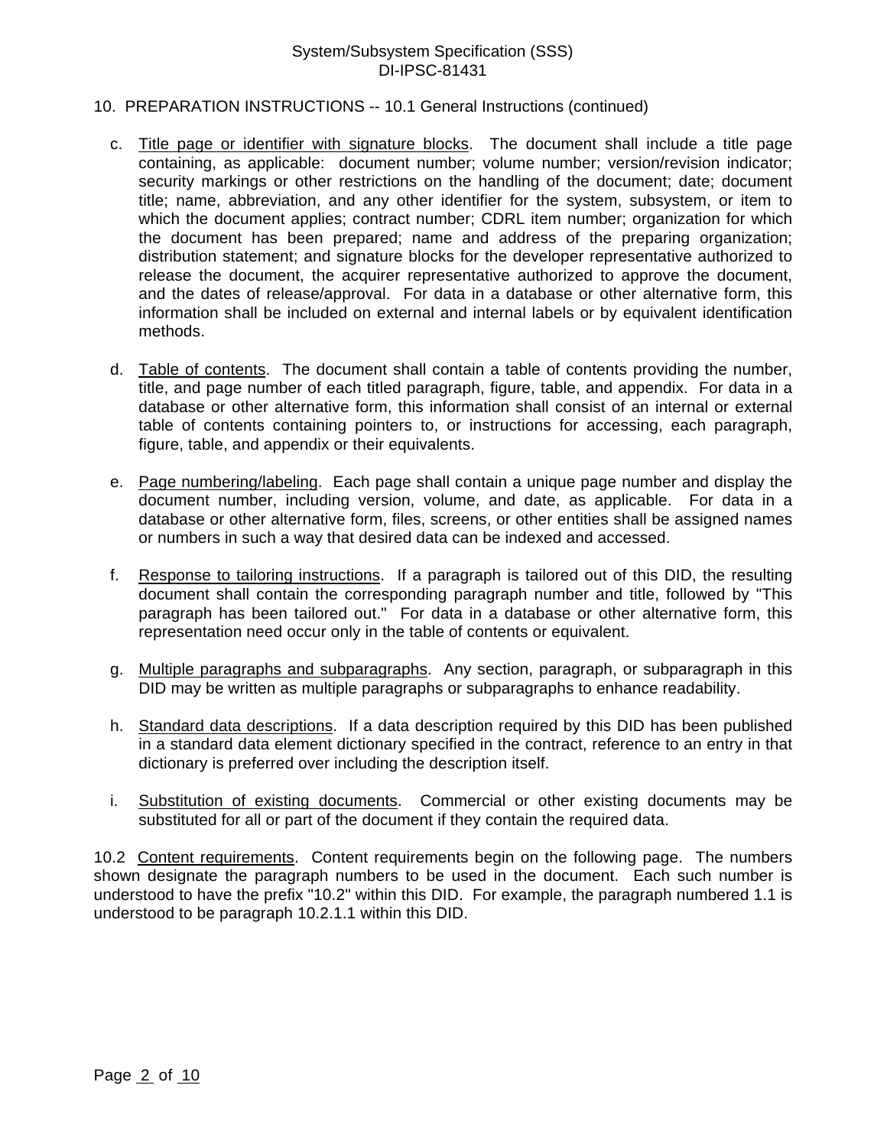### System/Subsystem Specification (SSS) DI-IPSC-81431

#### 10. PREPARATION INSTRUCTIONS -- 10.1 General Instructions (continued)

- c. Title page or identifier with signature blocks. The document shall include a title page containing, as applicable: document number; volume number; version/revision indicator; security markings or other restrictions on the handling of the document; date; document title; name, abbreviation, and any other identifier for the system, subsystem, or item to which the document applies; contract number; CDRL item number; organization for which the document has been prepared; name and address of the preparing organization; distribution statement; and signature blocks for the developer representative authorized to release the document, the acquirer representative authorized to approve the document, and the dates of release/approval. For data in a database or other alternative form, this information shall be included on external and internal labels or by equivalent identification methods.
- d. Table of contents. The document shall contain a table of contents providing the number, title, and page number of each titled paragraph, figure, table, and appendix. For data in a database or other alternative form, this information shall consist of an internal or external table of contents containing pointers to, or instructions for accessing, each paragraph, figure, table, and appendix or their equivalents.
- e. Page numbering/labeling. Each page shall contain a unique page number and display the document number, including version, volume, and date, as applicable. For data in a database or other alternative form, files, screens, or other entities shall be assigned names or numbers in such a way that desired data can be indexed and accessed.
- f. Response to tailoring instructions. If a paragraph is tailored out of this DID, the resulting document shall contain the corresponding paragraph number and title, followed by "This paragraph has been tailored out." For data in a database or other alternative form, this representation need occur only in the table of contents or equivalent.
- g. Multiple paragraphs and subparagraphs. Any section, paragraph, or subparagraph in this DID may be written as multiple paragraphs or subparagraphs to enhance readability.
- h. Standard data descriptions. If a data description required by this DID has been published in a standard data element dictionary specified in the contract, reference to an entry in that dictionary is preferred over including the description itself.
- i. Substitution of existing documents. Commercial or other existing documents may be substituted for all or part of the document if they contain the required data.

10.2 Content requirements. Content requirements begin on the following page. The numbers shown designate the paragraph numbers to be used in the document. Each such number is understood to have the prefix "10.2" within this DID. For example, the paragraph numbered 1.1 is understood to be paragraph 10.2.1.1 within this DID.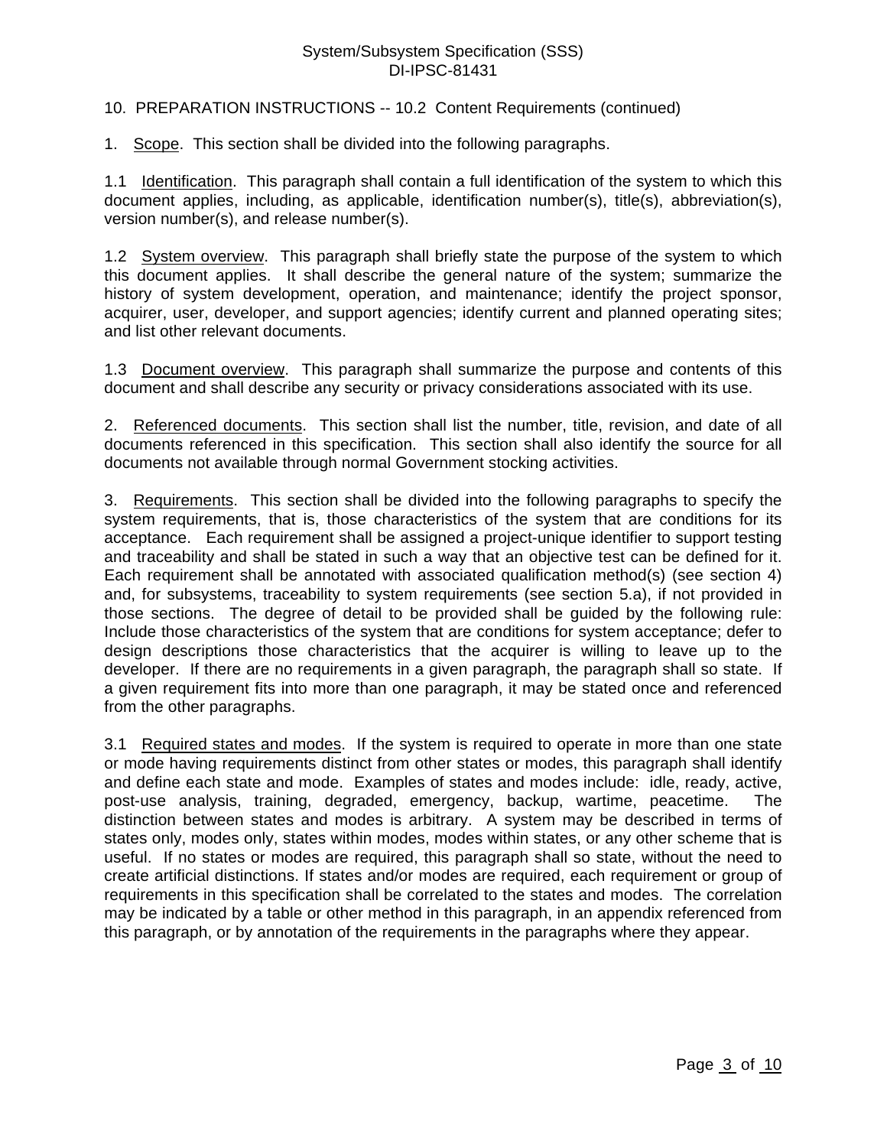# System/Subsystem Specification (SSS) DI-IPSC-81431

### 10. PREPARATION INSTRUCTIONS -- 10.2 Content Requirements (continued)

1. Scope. This section shall be divided into the following paragraphs.

1.1 Identification. This paragraph shall contain a full identification of the system to which this document applies, including, as applicable, identification number(s), title(s), abbreviation(s), version number(s), and release number(s).

1.2 System overview. This paragraph shall briefly state the purpose of the system to which this document applies. It shall describe the general nature of the system; summarize the history of system development, operation, and maintenance; identify the project sponsor, acquirer, user, developer, and support agencies; identify current and planned operating sites; and list other relevant documents.

1.3 Document overview. This paragraph shall summarize the purpose and contents of this document and shall describe any security or privacy considerations associated with its use.

2. Referenced documents. This section shall list the number, title, revision, and date of all documents referenced in this specification. This section shall also identify the source for all documents not available through normal Government stocking activities.

3. Requirements. This section shall be divided into the following paragraphs to specify the system requirements, that is, those characteristics of the system that are conditions for its acceptance. Each requirement shall be assigned a project-unique identifier to support testing and traceability and shall be stated in such a way that an objective test can be defined for it. Each requirement shall be annotated with associated qualification method(s) (see section 4) and, for subsystems, traceability to system requirements (see section 5.a), if not provided in those sections. The degree of detail to be provided shall be guided by the following rule: Include those characteristics of the system that are conditions for system acceptance; defer to design descriptions those characteristics that the acquirer is willing to leave up to the developer. If there are no requirements in a given paragraph, the paragraph shall so state. If a given requirement fits into more than one paragraph, it may be stated once and referenced from the other paragraphs.

3.1 Required states and modes. If the system is required to operate in more than one state or mode having requirements distinct from other states or modes, this paragraph shall identify and define each state and mode. Examples of states and modes include: idle, ready, active, post-use analysis, training, degraded, emergency, backup, wartime, peacetime. The distinction between states and modes is arbitrary. A system may be described in terms of states only, modes only, states within modes, modes within states, or any other scheme that is useful. If no states or modes are required, this paragraph shall so state, without the need to create artificial distinctions. If states and/or modes are required, each requirement or group of requirements in this specification shall be correlated to the states and modes. The correlation may be indicated by a table or other method in this paragraph, in an appendix referenced from this paragraph, or by annotation of the requirements in the paragraphs where they appear.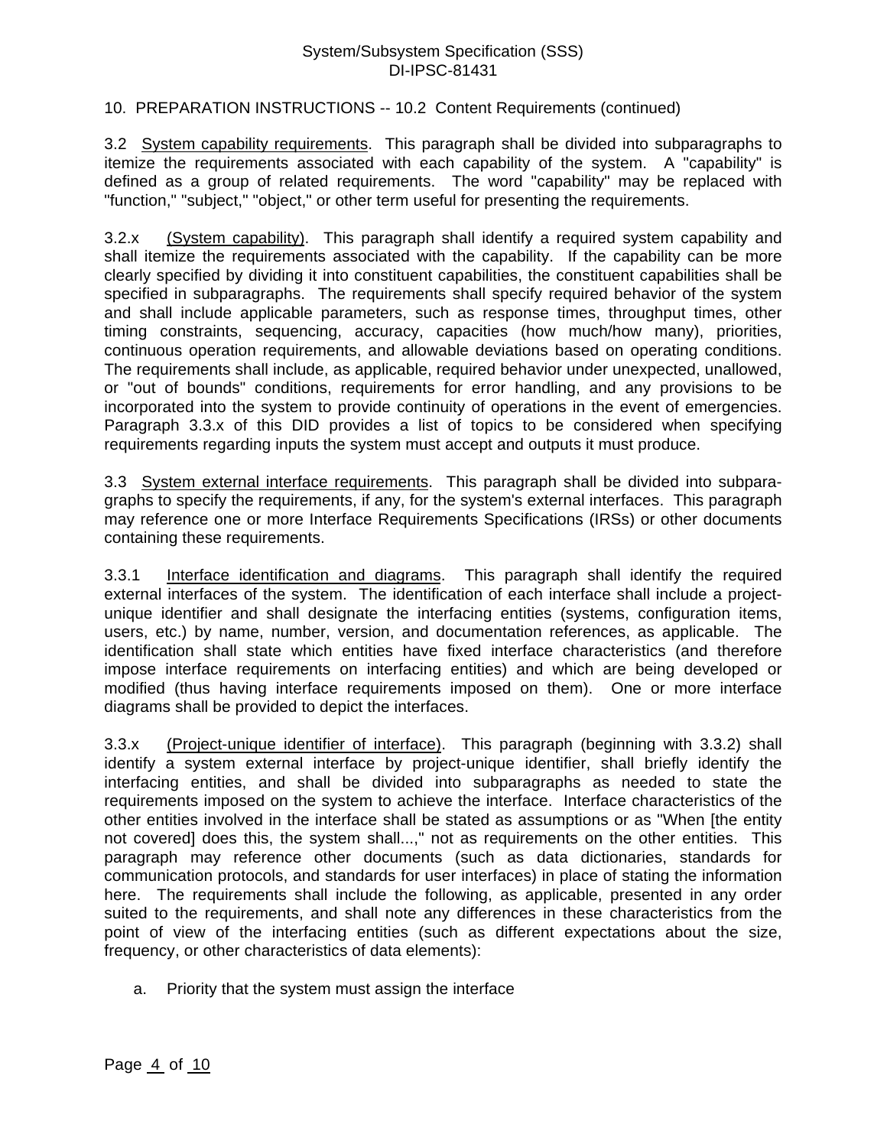## System/Subsystem Specification (SSS) DI-IPSC-81431

### 10. PREPARATION INSTRUCTIONS -- 10.2 Content Requirements (continued)

3.2 System capability requirements. This paragraph shall be divided into subparagraphs to itemize the requirements associated with each capability of the system. A "capability" is defined as a group of related requirements. The word "capability" may be replaced with "function," "subject," "object," or other term useful for presenting the requirements.

3.2.x (System capability). This paragraph shall identify a required system capability and shall itemize the requirements associated with the capability. If the capability can be more clearly specified by dividing it into constituent capabilities, the constituent capabilities shall be specified in subparagraphs. The requirements shall specify required behavior of the system and shall include applicable parameters, such as response times, throughput times, other timing constraints, sequencing, accuracy, capacities (how much/how many), priorities, continuous operation requirements, and allowable deviations based on operating conditions. The requirements shall include, as applicable, required behavior under unexpected, unallowed, or "out of bounds" conditions, requirements for error handling, and any provisions to be incorporated into the system to provide continuity of operations in the event of emergencies. Paragraph 3.3.x of this DID provides a list of topics to be considered when specifying requirements regarding inputs the system must accept and outputs it must produce.

3.3 System external interface requirements. This paragraph shall be divided into subparagraphs to specify the requirements, if any, for the system's external interfaces. This paragraph may reference one or more Interface Requirements Specifications (IRSs) or other documents containing these requirements.

3.3.1 Interface identification and diagrams. This paragraph shall identify the required external interfaces of the system. The identification of each interface shall include a projectunique identifier and shall designate the interfacing entities (systems, configuration items, users, etc.) by name, number, version, and documentation references, as applicable. The identification shall state which entities have fixed interface characteristics (and therefore impose interface requirements on interfacing entities) and which are being developed or modified (thus having interface requirements imposed on them). One or more interface diagrams shall be provided to depict the interfaces.

3.3.x (Project-unique identifier of interface). This paragraph (beginning with 3.3.2) shall identify a system external interface by project-unique identifier, shall briefly identify the interfacing entities, and shall be divided into subparagraphs as needed to state the requirements imposed on the system to achieve the interface. Interface characteristics of the other entities involved in the interface shall be stated as assumptions or as "When [the entity not covered] does this, the system shall...," not as requirements on the other entities. This paragraph may reference other documents (such as data dictionaries, standards for communication protocols, and standards for user interfaces) in place of stating the information here. The requirements shall include the following, as applicable, presented in any order suited to the requirements, and shall note any differences in these characteristics from the point of view of the interfacing entities (such as different expectations about the size, frequency, or other characteristics of data elements):

a. Priority that the system must assign the interface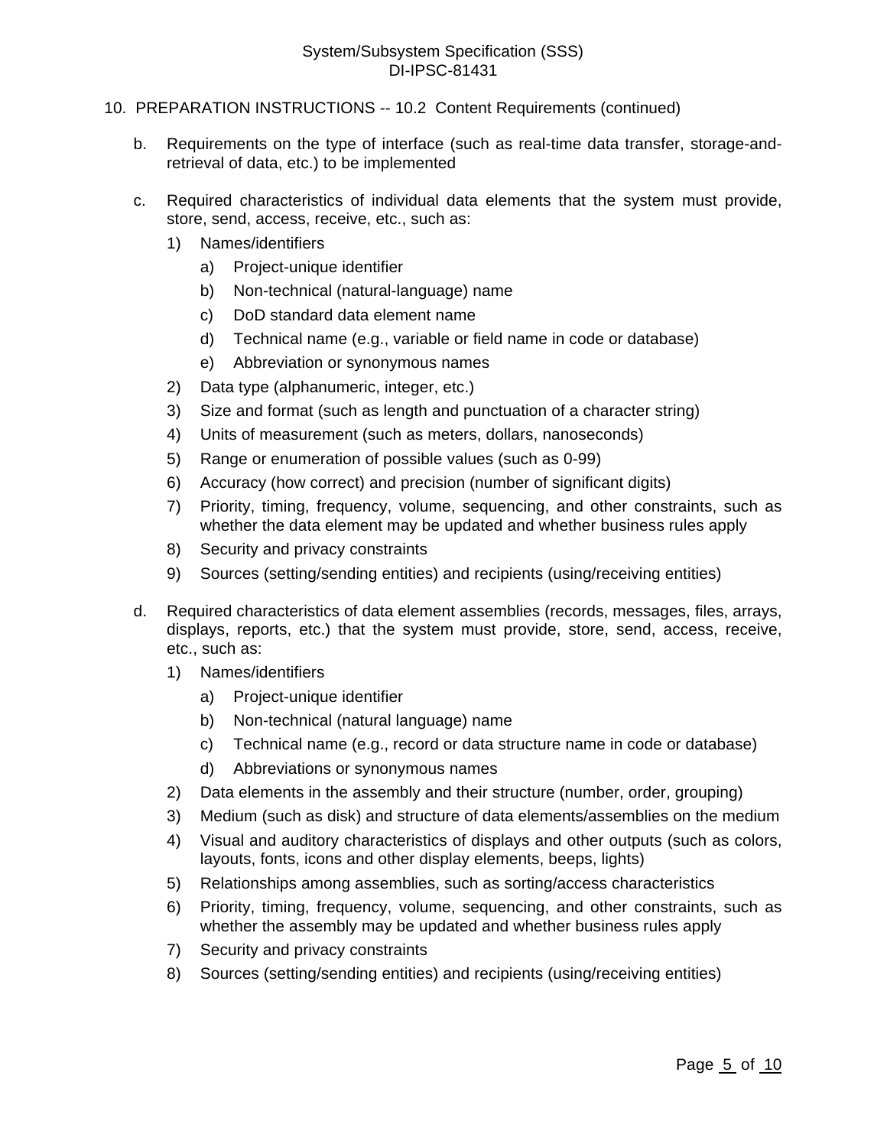- b. Requirements on the type of interface (such as real-time data transfer, storage-andretrieval of data, etc.) to be implemented
- c. Required characteristics of individual data elements that the system must provide, store, send, access, receive, etc., such as:
	- 1) Names/identifiers
		- a) Project-unique identifier
		- b) Non-technical (natural-language) name
		- c) DoD standard data element name
		- d) Technical name (e.g., variable or field name in code or database)
		- e) Abbreviation or synonymous names
	- 2) Data type (alphanumeric, integer, etc.)
	- 3) Size and format (such as length and punctuation of a character string)
	- 4) Units of measurement (such as meters, dollars, nanoseconds)
	- 5) Range or enumeration of possible values (such as 0-99)
	- 6) Accuracy (how correct) and precision (number of significant digits)
	- 7) Priority, timing, frequency, volume, sequencing, and other constraints, such as whether the data element may be updated and whether business rules apply
	- 8) Security and privacy constraints
	- 9) Sources (setting/sending entities) and recipients (using/receiving entities)
- d. Required characteristics of data element assemblies (records, messages, files, arrays, displays, reports, etc.) that the system must provide, store, send, access, receive, etc., such as:
	- 1) Names/identifiers
		- a) Project-unique identifier
		- b) Non-technical (natural language) name
		- c) Technical name (e.g., record or data structure name in code or database)
		- d) Abbreviations or synonymous names
	- 2) Data elements in the assembly and their structure (number, order, grouping)
	- 3) Medium (such as disk) and structure of data elements/assemblies on the medium
	- 4) Visual and auditory characteristics of displays and other outputs (such as colors, layouts, fonts, icons and other display elements, beeps, lights)
	- 5) Relationships among assemblies, such as sorting/access characteristics
	- 6) Priority, timing, frequency, volume, sequencing, and other constraints, such as whether the assembly may be updated and whether business rules apply
	- 7) Security and privacy constraints
	- 8) Sources (setting/sending entities) and recipients (using/receiving entities)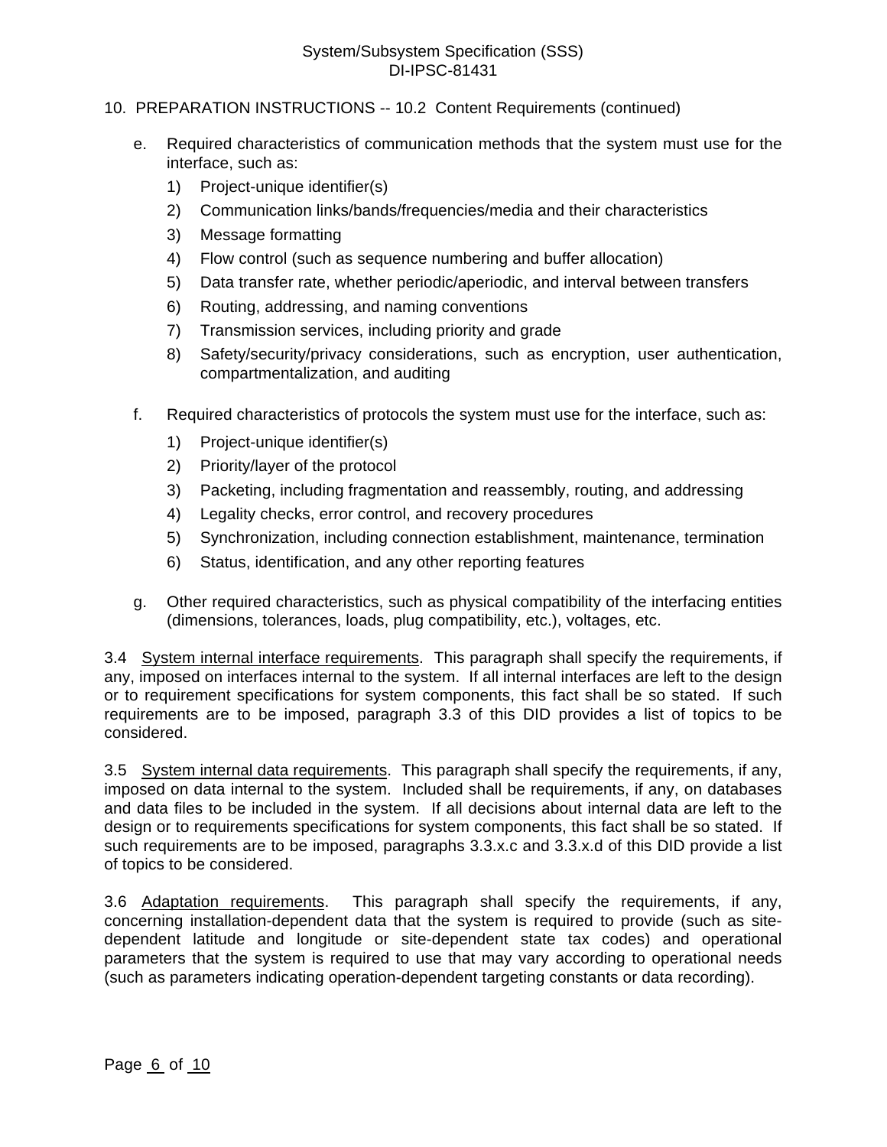- e. Required characteristics of communication methods that the system must use for the interface, such as:
	- 1) Project-unique identifier(s)
	- 2) Communication links/bands/frequencies/media and their characteristics
	- 3) Message formatting
	- 4) Flow control (such as sequence numbering and buffer allocation)
	- 5) Data transfer rate, whether periodic/aperiodic, and interval between transfers
	- 6) Routing, addressing, and naming conventions
	- 7) Transmission services, including priority and grade
	- 8) Safety/security/privacy considerations, such as encryption, user authentication, compartmentalization, and auditing
- f. Required characteristics of protocols the system must use for the interface, such as:
	- 1) Project-unique identifier(s)
	- 2) Priority/layer of the protocol
	- 3) Packeting, including fragmentation and reassembly, routing, and addressing
	- 4) Legality checks, error control, and recovery procedures
	- 5) Synchronization, including connection establishment, maintenance, termination
	- 6) Status, identification, and any other reporting features
- g. Other required characteristics, such as physical compatibility of the interfacing entities (dimensions, tolerances, loads, plug compatibility, etc.), voltages, etc.

3.4 System internal interface requirements. This paragraph shall specify the requirements, if any, imposed on interfaces internal to the system. If all internal interfaces are left to the design or to requirement specifications for system components, this fact shall be so stated. If such requirements are to be imposed, paragraph 3.3 of this DID provides a list of topics to be considered.

3.5 System internal data requirements. This paragraph shall specify the requirements, if any, imposed on data internal to the system. Included shall be requirements, if any, on databases and data files to be included in the system. If all decisions about internal data are left to the design or to requirements specifications for system components, this fact shall be so stated. If such requirements are to be imposed, paragraphs 3.3.x.c and 3.3.x.d of this DID provide a list of topics to be considered.

3.6 Adaptation requirements. This paragraph shall specify the requirements, if any, concerning installation-dependent data that the system is required to provide (such as sitedependent latitude and longitude or site-dependent state tax codes) and operational parameters that the system is required to use that may vary according to operational needs (such as parameters indicating operation-dependent targeting constants or data recording).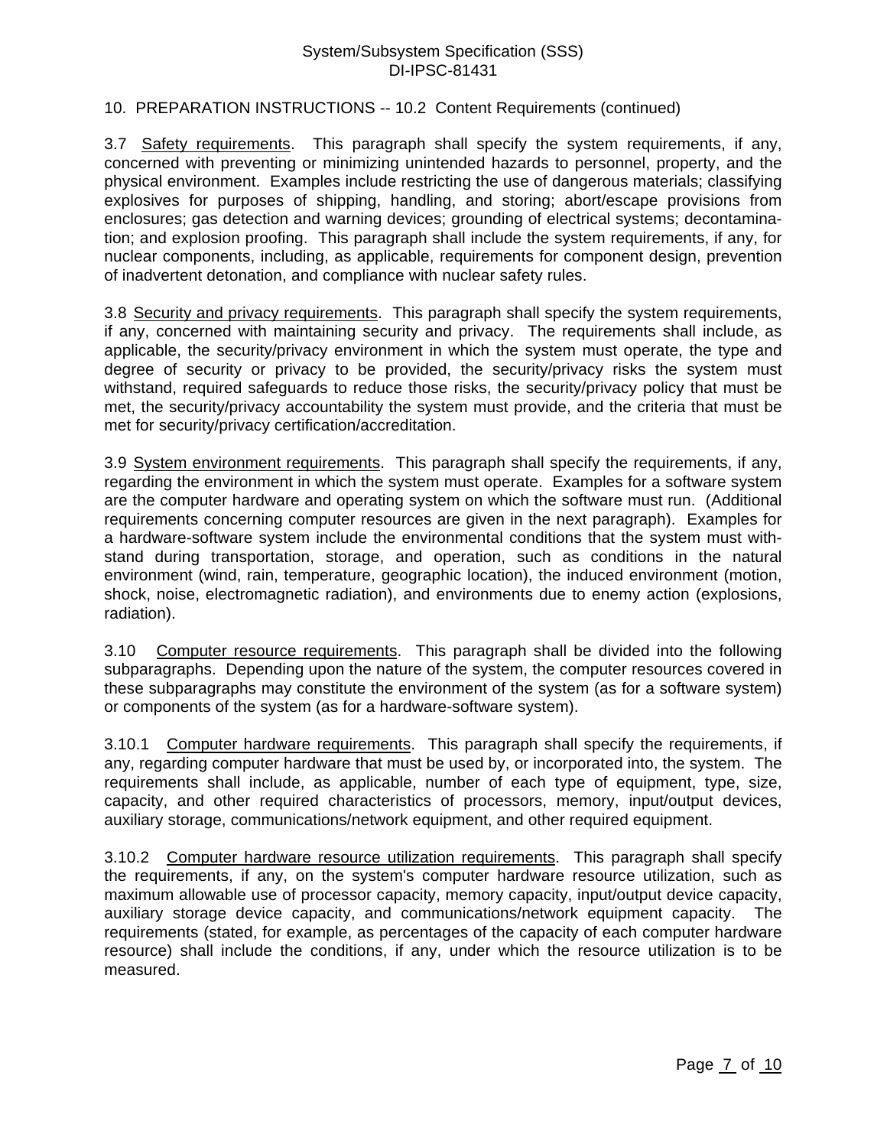3.7 Safety requirements. This paragraph shall specify the system requirements, if any, concerned with preventing or minimizing unintended hazards to personnel, property, and the physical environment. Examples include restricting the use of dangerous materials; classifying explosives for purposes of shipping, handling, and storing; abort/escape provisions from enclosures; gas detection and warning devices; grounding of electrical systems; decontamination; and explosion proofing. This paragraph shall include the system requirements, if any, for nuclear components, including, as applicable, requirements for component design, prevention of inadvertent detonation, and compliance with nuclear safety rules.

3.8 Security and privacy requirements. This paragraph shall specify the system requirements, if any, concerned with maintaining security and privacy. The requirements shall include, as applicable, the security/privacy environment in which the system must operate, the type and degree of security or privacy to be provided, the security/privacy risks the system must withstand, required safeguards to reduce those risks, the security/privacy policy that must be met, the security/privacy accountability the system must provide, and the criteria that must be met for security/privacy certification/accreditation.

3.9 System environment requirements. This paragraph shall specify the requirements, if any, regarding the environment in which the system must operate. Examples for a software system are the computer hardware and operating system on which the software must run. (Additional requirements concerning computer resources are given in the next paragraph). Examples for a hardware-software system include the environmental conditions that the system must withstand during transportation, storage, and operation, such as conditions in the natural environment (wind, rain, temperature, geographic location), the induced environment (motion, shock, noise, electromagnetic radiation), and environments due to enemy action (explosions, radiation).

3.10 Computer resource requirements. This paragraph shall be divided into the following subparagraphs. Depending upon the nature of the system, the computer resources covered in these subparagraphs may constitute the environment of the system (as for a software system) or components of the system (as for a hardware-software system).

3.10.1 Computer hardware requirements. This paragraph shall specify the requirements, if any, regarding computer hardware that must be used by, or incorporated into, the system. The requirements shall include, as applicable, number of each type of equipment, type, size, capacity, and other required characteristics of processors, memory, input/output devices, auxiliary storage, communications/network equipment, and other required equipment.

3.10.2 Computer hardware resource utilization requirements. This paragraph shall specify the requirements, if any, on the system's computer hardware resource utilization, such as maximum allowable use of processor capacity, memory capacity, input/output device capacity, auxiliary storage device capacity, and communications/network equipment capacity. The requirements (stated, for example, as percentages of the capacity of each computer hardware resource) shall include the conditions, if any, under which the resource utilization is to be measured.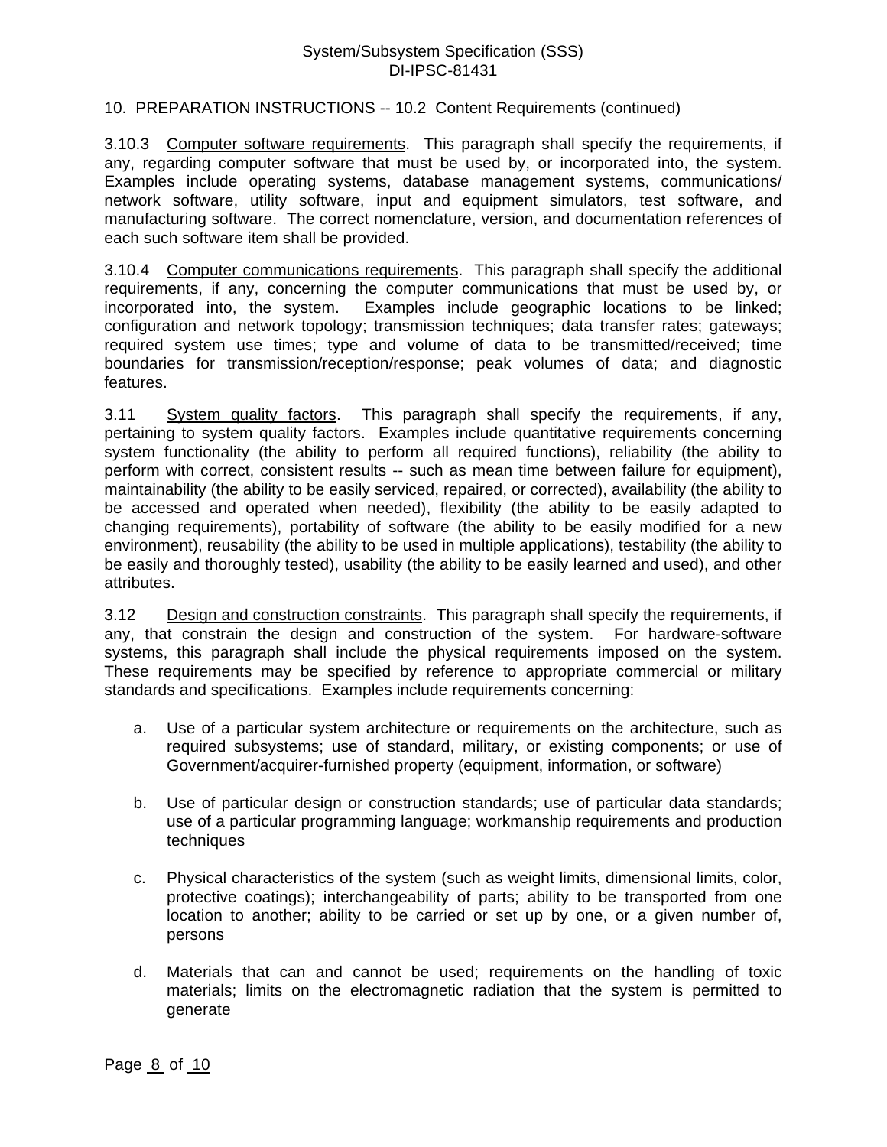3.10.3 Computer software requirements. This paragraph shall specify the requirements, if any, regarding computer software that must be used by, or incorporated into, the system. Examples include operating systems, database management systems, communications/ network software, utility software, input and equipment simulators, test software, and manufacturing software. The correct nomenclature, version, and documentation references of each such software item shall be provided.

3.10.4 Computer communications requirements. This paragraph shall specify the additional requirements, if any, concerning the computer communications that must be used by, or incorporated into, the system. Examples include geographic locations to be linked; configuration and network topology; transmission techniques; data transfer rates; gateways; required system use times; type and volume of data to be transmitted/received; time boundaries for transmission/reception/response; peak volumes of data; and diagnostic features.

3.11 System quality factors. This paragraph shall specify the requirements, if any, pertaining to system quality factors. Examples include quantitative requirements concerning system functionality (the ability to perform all required functions), reliability (the ability to perform with correct, consistent results -- such as mean time between failure for equipment), maintainability (the ability to be easily serviced, repaired, or corrected), availability (the ability to be accessed and operated when needed), flexibility (the ability to be easily adapted to changing requirements), portability of software (the ability to be easily modified for a new environment), reusability (the ability to be used in multiple applications), testability (the ability to be easily and thoroughly tested), usability (the ability to be easily learned and used), and other attributes.

3.12 Design and construction constraints. This paragraph shall specify the requirements, if any, that constrain the design and construction of the system. For hardware-software systems, this paragraph shall include the physical requirements imposed on the system. These requirements may be specified by reference to appropriate commercial or military standards and specifications. Examples include requirements concerning:

- a. Use of a particular system architecture or requirements on the architecture, such as required subsystems; use of standard, military, or existing components; or use of Government/acquirer-furnished property (equipment, information, or software)
- b. Use of particular design or construction standards; use of particular data standards; use of a particular programming language; workmanship requirements and production techniques
- c. Physical characteristics of the system (such as weight limits, dimensional limits, color, protective coatings); interchangeability of parts; ability to be transported from one location to another; ability to be carried or set up by one, or a given number of, persons
- d. Materials that can and cannot be used; requirements on the handling of toxic materials; limits on the electromagnetic radiation that the system is permitted to generate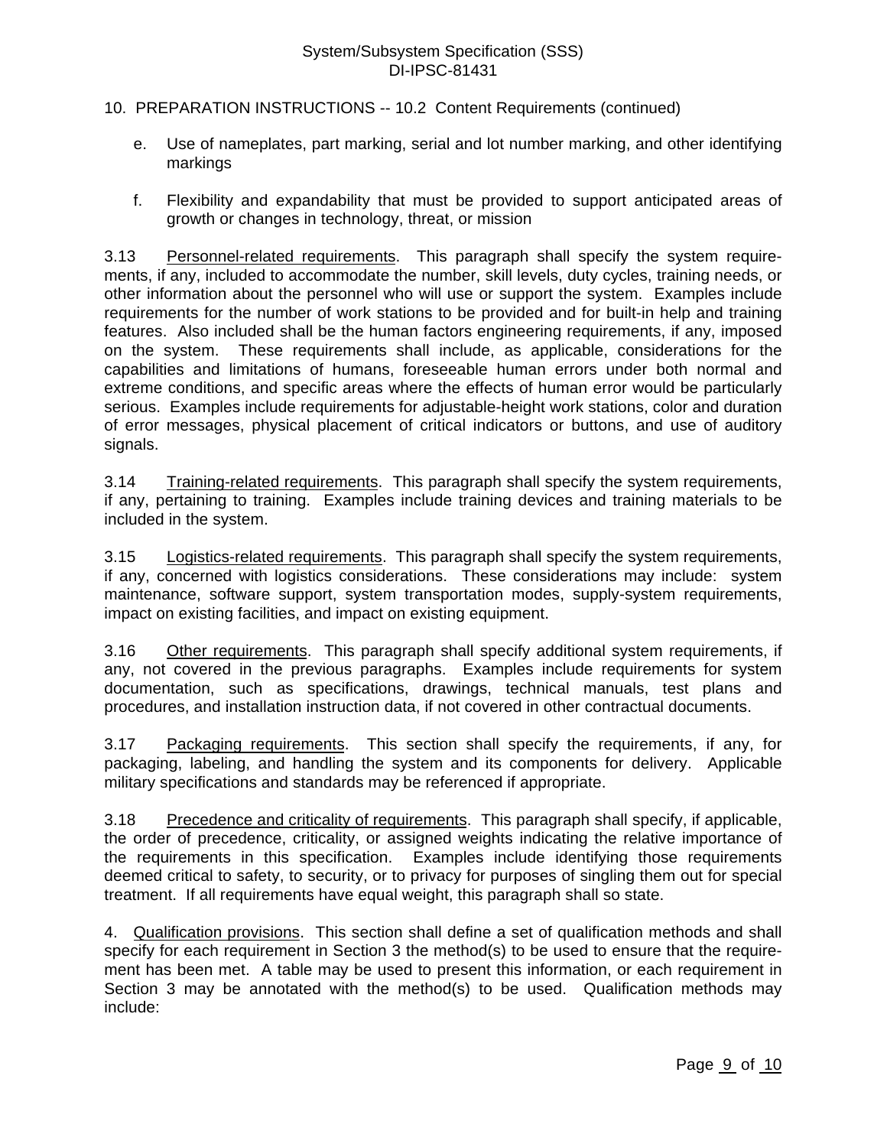- e. Use of nameplates, part marking, serial and lot number marking, and other identifying markings
- f. Flexibility and expandability that must be provided to support anticipated areas of growth or changes in technology, threat, or mission

3.13 Personnel-related requirements. This paragraph shall specify the system requirements, if any, included to accommodate the number, skill levels, duty cycles, training needs, or other information about the personnel who will use or support the system. Examples include requirements for the number of work stations to be provided and for built-in help and training features. Also included shall be the human factors engineering requirements, if any, imposed on the system. These requirements shall include, as applicable, considerations for the capabilities and limitations of humans, foreseeable human errors under both normal and extreme conditions, and specific areas where the effects of human error would be particularly serious. Examples include requirements for adjustable-height work stations, color and duration of error messages, physical placement of critical indicators or buttons, and use of auditory signals.

3.14 Training-related requirements. This paragraph shall specify the system requirements, if any, pertaining to training. Examples include training devices and training materials to be included in the system.

3.15 Logistics-related requirements. This paragraph shall specify the system requirements, if any, concerned with logistics considerations. These considerations may include: system maintenance, software support, system transportation modes, supply-system requirements, impact on existing facilities, and impact on existing equipment.

3.16 Other requirements. This paragraph shall specify additional system requirements, if any, not covered in the previous paragraphs. Examples include requirements for system documentation, such as specifications, drawings, technical manuals, test plans and procedures, and installation instruction data, if not covered in other contractual documents.

3.17 Packaging requirements. This section shall specify the requirements, if any, for packaging, labeling, and handling the system and its components for delivery. Applicable military specifications and standards may be referenced if appropriate.

3.18 Precedence and criticality of requirements. This paragraph shall specify, if applicable, the order of precedence, criticality, or assigned weights indicating the relative importance of the requirements in this specification. Examples include identifying those requirements deemed critical to safety, to security, or to privacy for purposes of singling them out for special treatment. If all requirements have equal weight, this paragraph shall so state.

4. Qualification provisions. This section shall define a set of qualification methods and shall specify for each requirement in Section 3 the method(s) to be used to ensure that the requirement has been met. A table may be used to present this information, or each requirement in Section 3 may be annotated with the method(s) to be used. Qualification methods may include: